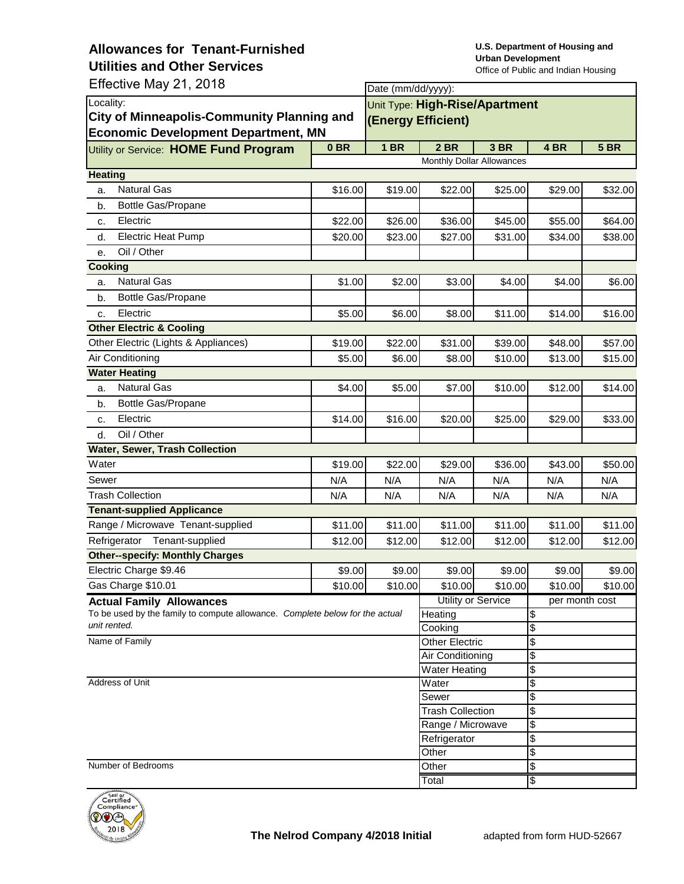Effective May 21, 2018

| Effective May 21, 2018<br>Date (mm/dd/yyyy):                                                 |                               |                                |                         |         |                             |             |  |  |  |
|----------------------------------------------------------------------------------------------|-------------------------------|--------------------------------|-------------------------|---------|-----------------------------|-------------|--|--|--|
| Locality:                                                                                    |                               | Unit Type: High-Rise/Apartment |                         |         |                             |             |  |  |  |
| <b>City of Minneapolis-Community Planning and</b>                                            |                               | (Energy Efficient)             |                         |         |                             |             |  |  |  |
| <b>Economic Development Department, MN</b>                                                   |                               |                                |                         |         |                             |             |  |  |  |
| Utility or Service: HOME Fund Program                                                        | 0 <sub>BR</sub>               | 1 <sub>BR</sub>                | 2 BR                    | 3 BR    | 4 BR                        | <b>5 BR</b> |  |  |  |
|                                                                                              | Monthly Dollar Allowances     |                                |                         |         |                             |             |  |  |  |
| <b>Heating</b>                                                                               |                               |                                |                         |         |                             |             |  |  |  |
| <b>Natural Gas</b><br>a.                                                                     | \$16.00                       | \$19.00                        | \$22.00                 | \$25.00 | \$29.00                     | \$32.00     |  |  |  |
| Bottle Gas/Propane<br>b.                                                                     |                               |                                |                         |         |                             |             |  |  |  |
| Electric<br>c.                                                                               | \$22.00                       | \$26.00                        | \$36.00                 | \$45.00 | \$55.00                     | \$64.00     |  |  |  |
| <b>Electric Heat Pump</b><br>d.                                                              | \$20.00                       | \$23.00                        | \$27.00                 | \$31.00 | \$34.00                     | \$38.00     |  |  |  |
| Oil / Other<br>e.                                                                            |                               |                                |                         |         |                             |             |  |  |  |
| <b>Cooking</b>                                                                               |                               |                                |                         |         |                             |             |  |  |  |
| <b>Natural Gas</b><br>a.                                                                     | \$1.00                        | \$2.00                         | \$3.00                  | \$4.00  | \$4.00                      | \$6.00      |  |  |  |
| Bottle Gas/Propane<br>b.                                                                     |                               |                                |                         |         |                             |             |  |  |  |
| Electric<br>c.                                                                               | \$5.00                        | \$6.00                         | \$8.00                  | \$11.00 | \$14.00                     | \$16.00     |  |  |  |
| <b>Other Electric &amp; Cooling</b>                                                          |                               |                                |                         |         |                             |             |  |  |  |
| Other Electric (Lights & Appliances)                                                         | \$19.00                       | \$22.00                        | \$31.00                 | \$39.00 | \$48.00                     | \$57.00     |  |  |  |
| Air Conditioning                                                                             | \$5.00                        | \$6.00                         | \$8.00                  | \$10.00 | \$13.00                     | \$15.00     |  |  |  |
| <b>Water Heating</b>                                                                         |                               |                                |                         |         |                             |             |  |  |  |
| <b>Natural Gas</b><br>a.                                                                     | \$4.00                        | \$5.00                         | \$7.00                  | \$10.00 | \$12.00                     | \$14.00     |  |  |  |
| Bottle Gas/Propane<br>b.                                                                     |                               |                                |                         |         |                             |             |  |  |  |
| Electric<br>c.                                                                               | \$14.00                       | \$16.00                        | \$20.00                 | \$25.00 | \$29.00                     | \$33.00     |  |  |  |
| Oil / Other<br>d.                                                                            |                               |                                |                         |         |                             |             |  |  |  |
| <b>Water, Sewer, Trash Collection</b>                                                        |                               |                                |                         |         |                             |             |  |  |  |
| Water                                                                                        | \$19.00                       | \$22.00                        | \$29.00                 | \$36.00 | \$43.00                     | \$50.00     |  |  |  |
| Sewer                                                                                        | N/A                           | N/A                            | N/A                     | N/A     | N/A                         | N/A         |  |  |  |
| <b>Trash Collection</b>                                                                      | N/A                           | N/A                            | N/A                     | N/A     | N/A                         | N/A         |  |  |  |
| <b>Tenant-supplied Applicance</b>                                                            |                               |                                |                         |         |                             |             |  |  |  |
| Range / Microwave Tenant-supplied                                                            | \$11.00                       | \$11.00                        | \$11.00                 | \$11.00 | \$11.00                     | \$11.00     |  |  |  |
| Tenant-supplied<br>Refrigerator                                                              | \$12.00                       | \$12.00                        | \$12.00                 | \$12.00 | \$12.00                     | \$12.00     |  |  |  |
| <b>Other--specify: Monthly Charges</b>                                                       |                               |                                |                         |         |                             |             |  |  |  |
| Electric Charge \$9.46                                                                       | \$9.00                        | \$9.00                         | \$9.00                  | \$9.00  | \$9.00                      | \$9.00      |  |  |  |
| Gas Charge \$10.01                                                                           | \$10.00                       | \$10.00                        | \$10.00                 | \$10.00 | \$10.00                     | \$10.00     |  |  |  |
| <b>Actual Family Allowances</b>                                                              | Utility or Service<br>Heating |                                | per month cost<br>\$    |         |                             |             |  |  |  |
| To be used by the family to compute allowance. Complete below for the actual<br>unit rented. |                               |                                | Cooking                 |         | \$                          |             |  |  |  |
| Name of Family                                                                               |                               |                                | Other Electric          |         | \$                          |             |  |  |  |
|                                                                                              |                               |                                | Air Conditioning        |         | \$                          |             |  |  |  |
|                                                                                              |                               |                                | <b>Water Heating</b>    |         | \$                          |             |  |  |  |
| Address of Unit                                                                              |                               |                                | Water                   |         | \$                          |             |  |  |  |
|                                                                                              | Sewer                         |                                | \$                      |         |                             |             |  |  |  |
|                                                                                              |                               |                                | <b>Trash Collection</b> |         | \$                          |             |  |  |  |
|                                                                                              |                               |                                | Range / Microwave       |         | \$                          |             |  |  |  |
|                                                                                              |                               |                                | Refrigerator            |         | $\boldsymbol{\theta}$       |             |  |  |  |
| Number of Bedrooms                                                                           |                               |                                | Other                   |         | $\boldsymbol{\theta}$<br>\$ |             |  |  |  |
|                                                                                              |                               |                                | Other<br>Total          |         | \$                          |             |  |  |  |
|                                                                                              |                               |                                |                         |         |                             |             |  |  |  |